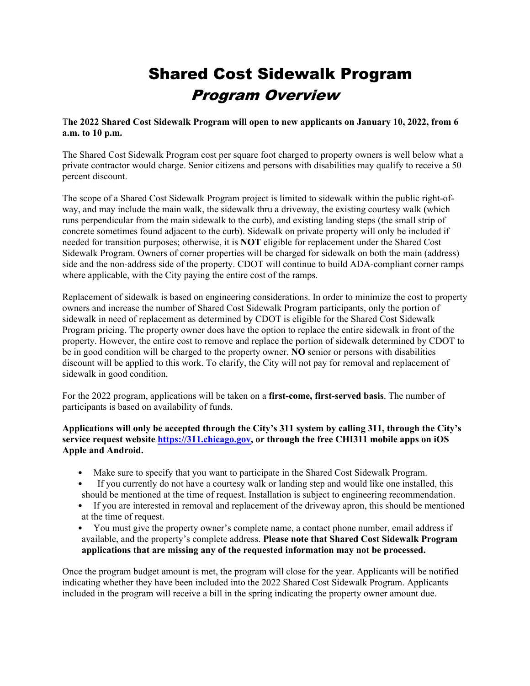# Shared Cost Sidewalk Program Program Overview

T**he 2022 Shared Cost Sidewalk Program will open to new applicants on January 10, 2022, from 6 a.m. to 10 p.m.**

The Shared Cost Sidewalk Program cost per square foot charged to property owners is well below what a private contractor would charge. Senior citizens and persons with disabilities may qualify to receive a 50 percent discount.

The scope of a Shared Cost Sidewalk Program project is limited to sidewalk within the public right-ofway, and may include the main walk, the sidewalk thru a driveway, the existing courtesy walk (which runs perpendicular from the main sidewalk to the curb), and existing landing steps (the small strip of concrete sometimes found adjacent to the curb). Sidewalk on private property will only be included if needed for transition purposes; otherwise, it is **NOT** eligible for replacement under the Shared Cost Sidewalk Program. Owners of corner properties will be charged for sidewalk on both the main (address) side and the non-address side of the property. CDOT will continue to build ADA-compliant corner ramps where applicable, with the City paying the entire cost of the ramps.

Replacement of sidewalk is based on engineering considerations. In order to minimize the cost to property owners and increase the number of Shared Cost Sidewalk Program participants, only the portion of sidewalk in need of replacement as determined by CDOT is eligible for the Shared Cost Sidewalk Program pricing. The property owner does have the option to replace the entire sidewalk in front of the property. However, the entire cost to remove and replace the portion of sidewalk determined by CDOT to be in good condition will be charged to the property owner. **NO** senior or persons with disabilities discount will be applied to this work. To clarify, the City will not pay for removal and replacement of sidewalk in good condition.

For the 2022 program, applications will be taken on a **first-come, first-served basis**. The number of participants is based on availability of funds.

**Applications will only be accepted through the City's 311 system by calling 311, through the City's service request website https://311.chicago.gov, or through the free CHI311 mobile apps on iOS Apple and Android.** 

- Make sure to specify that you want to participate in the Shared Cost Sidewalk Program.
- If you currently do not have a courtesy walk or landing step and would like one installed, this should be mentioned at the time of request. Installation is subject to engineering recommendation.
- If you are interested in removal and replacement of the driveway apron, this should be mentioned at the time of request.
- You must give the property owner's complete name, a contact phone number, email address if available, and the property's complete address. **Please note that Shared Cost Sidewalk Program applications that are missing any of the requested information may not be processed.**

Once the program budget amount is met, the program will close for the year. Applicants will be notified indicating whether they have been included into the 2022 Shared Cost Sidewalk Program. Applicants included in the program will receive a bill in the spring indicating the property owner amount due.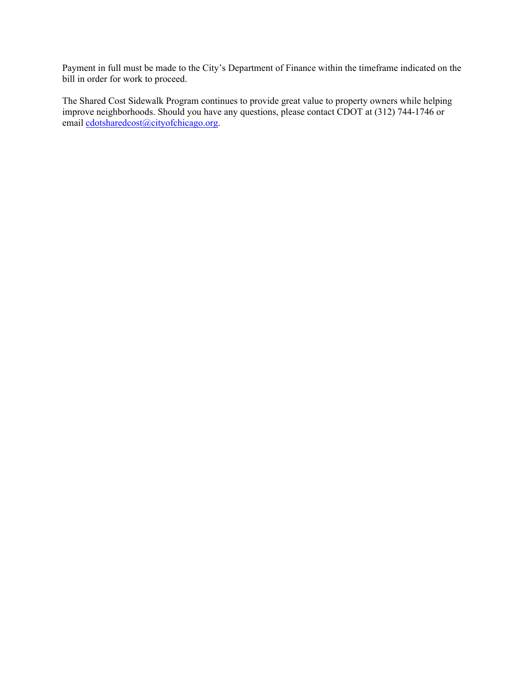Payment in full must be made to the City's Department of Finance within the timeframe indicated on the bill in order for work to proceed.

The Shared Cost Sidewalk Program continues to provide great value to property owners while helping improve neighborhoods. Should you have any questions, please contact CDOT at (312) 744-1746 or email cdotsharedcost@cityofchicago.org.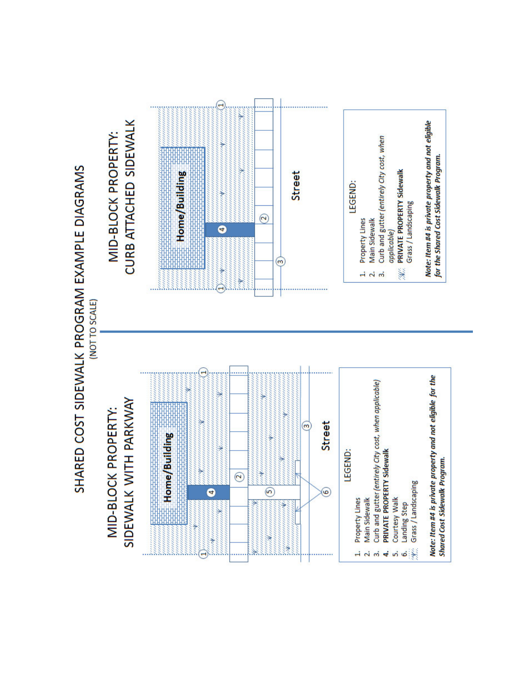





- Property Lines  $\vec{a}$   $\vec{a}$
- Main Sidewalk
- Curb and gutter (entirely City cost, when applicable)<br>PRIVATE PROPERTY Sidewalk
	- $\overline{4}$ 
		- Courtesy Walk 5ń
- Ġ,
- Landing Step<br>Grass / Landscaping ¥.

Note: Item #4 is private property and not eligible for the Shared Cost Sidewalk Program.



- LEGEND:
	- Property Lines Main Sidewalk  $-1$   $\sim$   $\frac{1}{2}$
- Curb and gutter (entirely City cost, when applicable)
	- PRIVATE PROPERTY Sidewalk Grass / Landscaping M.

Note: Item #4 is private property and not eligible<br>for the Shared Cost Sidewalk Program.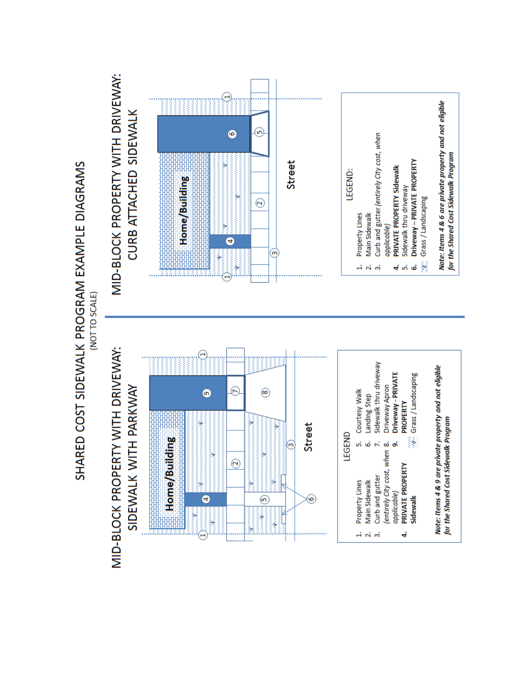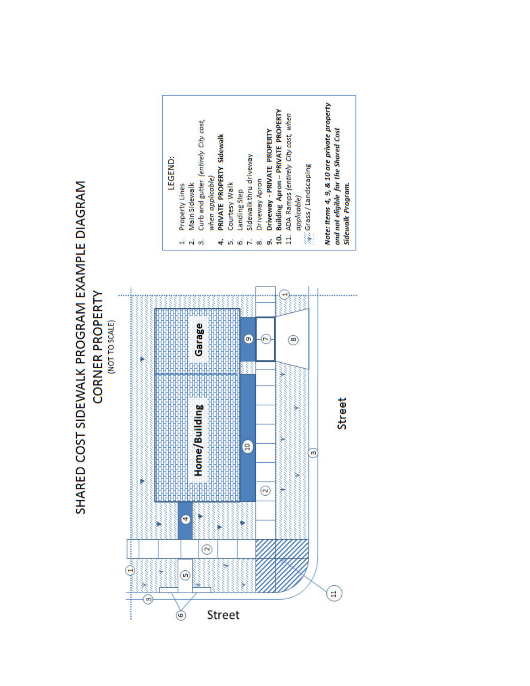# SHARED COST SIDEWALK PROGRAM EXAMPLE DIAGRAM **CORNER PROPERTY**



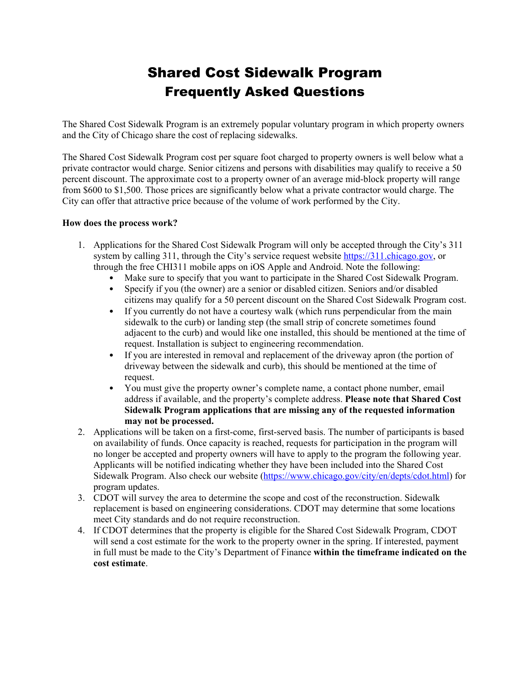## Shared Cost Sidewalk Program Frequently Asked Questions

The Shared Cost Sidewalk Program is an extremely popular voluntary program in which property owners and the City of Chicago share the cost of replacing sidewalks.

The Shared Cost Sidewalk Program cost per square foot charged to property owners is well below what a private contractor would charge. Senior citizens and persons with disabilities may qualify to receive a 50 percent discount. The approximate cost to a property owner of an average mid-block property will range from \$600 to \$1,500. Those prices are significantly below what a private contractor would charge. The City can offer that attractive price because of the volume of work performed by the City.

### **How does the process work?**

- 1. Applications for the Shared Cost Sidewalk Program will only be accepted through the City's 311 system by calling 311, through the City's service request website https://311.chicago.gov, or through the free CHI311 mobile apps on iOS Apple and Android. Note the following:
	- Make sure to specify that you want to participate in the Shared Cost Sidewalk Program.
	- Specify if you (the owner) are a senior or disabled citizen. Seniors and/or disabled citizens may qualify for a 50 percent discount on the Shared Cost Sidewalk Program cost.
	- If you currently do not have a courtesy walk (which runs perpendicular from the main sidewalk to the curb) or landing step (the small strip of concrete sometimes found adjacent to the curb) and would like one installed, this should be mentioned at the time of request. Installation is subject to engineering recommendation.
	- If you are interested in removal and replacement of the driveway apron (the portion of driveway between the sidewalk and curb), this should be mentioned at the time of request.
	- You must give the property owner's complete name, a contact phone number, email address if available, and the property's complete address. **Please note that Shared Cost Sidewalk Program applications that are missing any of the requested information may not be processed.**
- 2. Applications will be taken on a first-come, first-served basis. The number of participants is based on availability of funds. Once capacity is reached, requests for participation in the program will no longer be accepted and property owners will have to apply to the program the following year. Applicants will be notified indicating whether they have been included into the Shared Cost Sidewalk Program. Also check our website (https://www.chicago.gov/city/en/depts/cdot.html) for program updates.
- 3. CDOT will survey the area to determine the scope and cost of the reconstruction. Sidewalk replacement is based on engineering considerations. CDOT may determine that some locations meet City standards and do not require reconstruction.
- 4. If CDOT determines that the property is eligible for the Shared Cost Sidewalk Program, CDOT will send a cost estimate for the work to the property owner in the spring. If interested, payment in full must be made to the City's Department of Finance **within the timeframe indicated on the cost estimate**.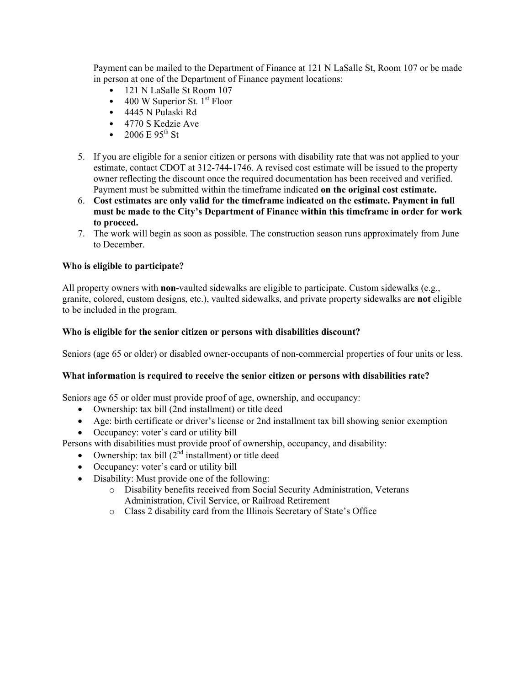Payment can be mailed to the Department of Finance at 121 N LaSalle St, Room 107 or be made in person at one of the Department of Finance payment locations:

- 121 N LaSalle St Room 107
- 400 W Superior St.  $1<sup>st</sup>$  Floor
- 4445 N Pulaski Rd
- 4770 S Kedzie Ave
- 2006 E  $95^{th}$  St
- 5. If you are eligible for a senior citizen or persons with disability rate that was not applied to your estimate, contact CDOT at 312-744-1746. A revised cost estimate will be issued to the property owner reflecting the discount once the required documentation has been received and verified. Payment must be submitted within the timeframe indicated **on the original cost estimate.**
- 6. **Cost estimates are only valid for the timeframe indicated on the estimate. Payment in full must be made to the City's Department of Finance within this timeframe in order for work to proceed.**
- 7. The work will begin as soon as possible. The construction season runs approximately from June to December.

### **Who is eligible to participate?**

All property owners with **non-**vaulted sidewalks are eligible to participate. Custom sidewalks (e.g., granite, colored, custom designs, etc.), vaulted sidewalks, and private property sidewalks are **not** eligible to be included in the program.

### **Who is eligible for the senior citizen or persons with disabilities discount?**

Seniors (age 65 or older) or disabled owner-occupants of non-commercial properties of four units or less.

### **What information is required to receive the senior citizen or persons with disabilities rate?**

Seniors age 65 or older must provide proof of age, ownership, and occupancy:

- Ownership: tax bill (2nd installment) or title deed
- Age: birth certificate or driver's license or 2nd installment tax bill showing senior exemption
- Occupancy: voter's card or utility bill

Persons with disabilities must provide proof of ownership, occupancy, and disability:

- Ownership: tax bill  $(2<sup>nd</sup>$  installment) or title deed
- Occupancy: voter's card or utility bill
- Disability: Must provide one of the following:
	- o Disability benefits received from Social Security Administration, Veterans Administration, Civil Service, or Railroad Retirement
	- o Class 2 disability card from the Illinois Secretary of State's Office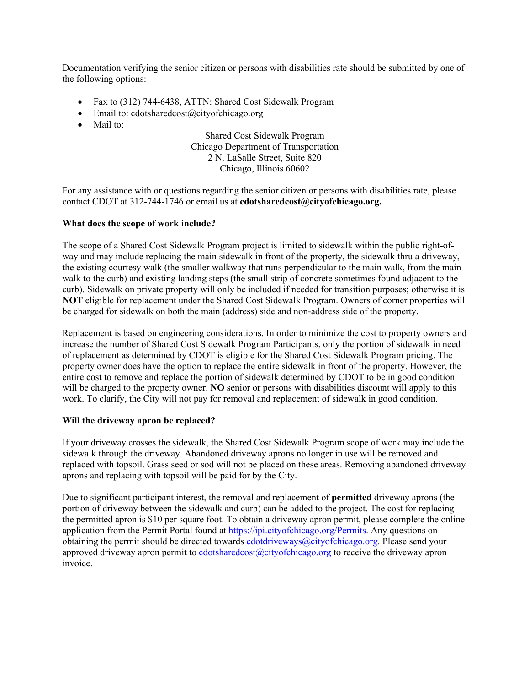Documentation verifying the senior citizen or persons with disabilities rate should be submitted by one of the following options:

- Fax to (312) 744-6438, ATTN: Shared Cost Sidewalk Program
- $\bullet$  Email to: cdotsharedcost@cityofchicago.org
- Mail to:

### Shared Cost Sidewalk Program Chicago Department of Transportation 2 N. LaSalle Street, Suite 820 Chicago, Illinois 60602

For any assistance with or questions regarding the senior citizen or persons with disabilities rate, please contact CDOT at 312-744-1746 or email us at **cdotsharedcost@cityofchicago.org.**

### **What does the scope of work include?**

The scope of a Shared Cost Sidewalk Program project is limited to sidewalk within the public right-ofway and may include replacing the main sidewalk in front of the property, the sidewalk thru a driveway, the existing courtesy walk (the smaller walkway that runs perpendicular to the main walk, from the main walk to the curb) and existing landing steps (the small strip of concrete sometimes found adjacent to the curb). Sidewalk on private property will only be included if needed for transition purposes; otherwise it is **NOT** eligible for replacement under the Shared Cost Sidewalk Program. Owners of corner properties will be charged for sidewalk on both the main (address) side and non-address side of the property.

Replacement is based on engineering considerations. In order to minimize the cost to property owners and increase the number of Shared Cost Sidewalk Program Participants, only the portion of sidewalk in need of replacement as determined by CDOT is eligible for the Shared Cost Sidewalk Program pricing. The property owner does have the option to replace the entire sidewalk in front of the property. However, the entire cost to remove and replace the portion of sidewalk determined by CDOT to be in good condition will be charged to the property owner. **NO** senior or persons with disabilities discount will apply to this work. To clarify, the City will not pay for removal and replacement of sidewalk in good condition.

### **Will the driveway apron be replaced?**

If your driveway crosses the sidewalk, the Shared Cost Sidewalk Program scope of work may include the sidewalk through the driveway. Abandoned driveway aprons no longer in use will be removed and replaced with topsoil. Grass seed or sod will not be placed on these areas. Removing abandoned driveway aprons and replacing with topsoil will be paid for by the City.

Due to significant participant interest, the removal and replacement of **permitted** driveway aprons (the portion of driveway between the sidewalk and curb) can be added to the project. The cost for replacing the permitted apron is \$10 per square foot. To obtain a driveway apron permit, please complete the online application from the Permit Portal found at https://ipi.cityofchicago.org/Permits. Any questions on obtaining the permit should be directed towards cdotdriveways@cityofchicago.org. Please send your approved driveway apron permit to  $cdotsharedcost@cityofchicago.org$  to receive the driveway apron invoice.